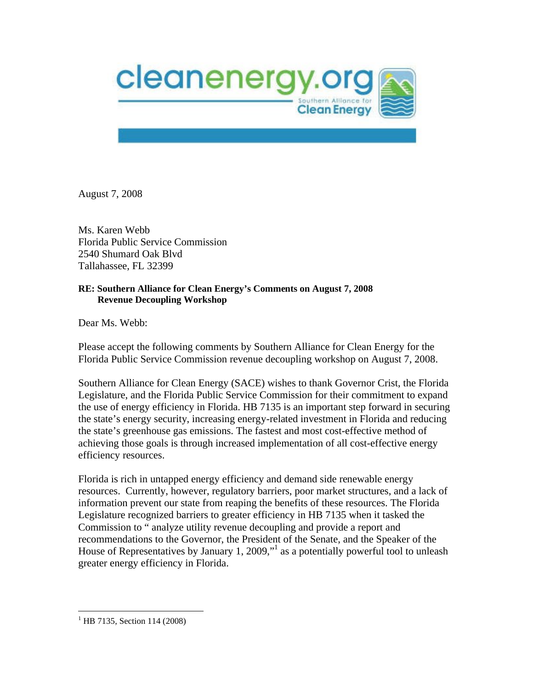

August 7, 2008

Ms. Karen Webb Florida Public Service Commission 2540 Shumard Oak Blvd Tallahassee, FL 32399

## **RE: Southern Alliance for Clean Energy's Comments on August 7, 2008 Revenue Decoupling Workshop**

Dear Ms. Webb:

Please accept the following comments by Southern Alliance for Clean Energy for the Florida Public Service Commission revenue decoupling workshop on August 7, 2008.

Southern Alliance for Clean Energy (SACE) wishes to thank Governor Crist, the Florida Legislature, and the Florida Public Service Commission for their commitment to expand the use of energy efficiency in Florida. HB 7135 is an important step forward in securing the state's energy security, increasing energy-related investment in Florida and reducing the state's greenhouse gas emissions. The fastest and most cost-effective method of achieving those goals is through increased implementation of all cost-effective energy efficiency resources.

Florida is rich in untapped energy efficiency and demand side renewable energy resources. Currently, however, regulatory barriers, poor market structures, and a lack of information prevent our state from reaping the benefits of these resources. The Florida Legislature recognized barriers to greater efficiency in HB 7135 when it tasked the Commission to " analyze utility revenue decoupling and provide a report and recommendations to the Governor, the President of the Senate, and the Speaker of the House of Representatives by January 1, 2009,"<sup>1</sup> as a potentially powerful tool to unleash greater energy efficiency in Florida.

1

 $1$ <sup>1</sup> HB 7135, Section 114 (2008)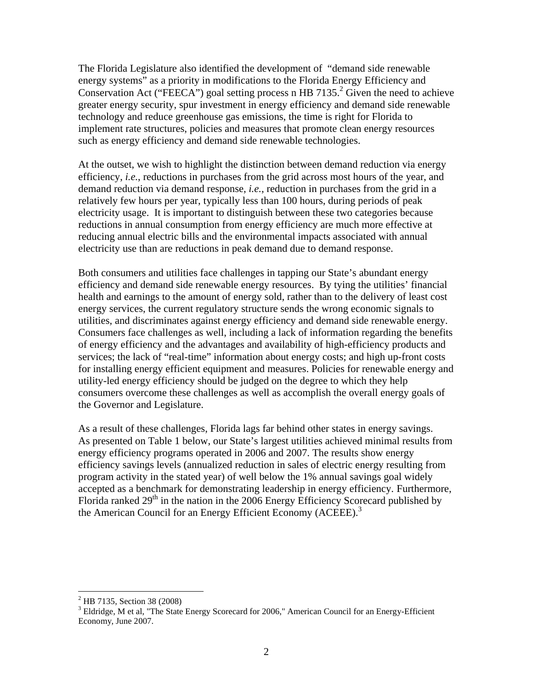The Florida Legislature also identified the development of "demand side renewable energy systems" as a priority in modifications to the Florida Energy Efficiency and Conservation Act ("FEECA") goal setting process n HB 7135.<sup>2</sup> Given the need to achieve greater energy security, spur investment in energy efficiency and demand side renewable technology and reduce greenhouse gas emissions, the time is right for Florida to implement rate structures, policies and measures that promote clean energy resources such as energy efficiency and demand side renewable technologies.

At the outset, we wish to highlight the distinction between demand reduction via energy efficiency, *i.e.*, reductions in purchases from the grid across most hours of the year, and demand reduction via demand response, *i.e.*, reduction in purchases from the grid in a relatively few hours per year, typically less than 100 hours, during periods of peak electricity usage. It is important to distinguish between these two categories because reductions in annual consumption from energy efficiency are much more effective at reducing annual electric bills and the environmental impacts associated with annual electricity use than are reductions in peak demand due to demand response.

Both consumers and utilities face challenges in tapping our State's abundant energy efficiency and demand side renewable energy resources. By tying the utilities' financial health and earnings to the amount of energy sold, rather than to the delivery of least cost energy services, the current regulatory structure sends the wrong economic signals to utilities, and discriminates against energy efficiency and demand side renewable energy. Consumers face challenges as well, including a lack of information regarding the benefits of energy efficiency and the advantages and availability of high-efficiency products and services; the lack of "real-time" information about energy costs; and high up-front costs for installing energy efficient equipment and measures. Policies for renewable energy and utility-led energy efficiency should be judged on the degree to which they help consumers overcome these challenges as well as accomplish the overall energy goals of the Governor and Legislature.

As a result of these challenges, Florida lags far behind other states in energy savings. As presented on Table 1 below, our State's largest utilities achieved minimal results from energy efficiency programs operated in 2006 and 2007. The results show energy efficiency savings levels (annualized reduction in sales of electric energy resulting from program activity in the stated year) of well below the 1% annual savings goal widely accepted as a benchmark for demonstrating leadership in energy efficiency. Furthermore, Florida ranked  $29<sup>th</sup>$  in the nation in the 2006 Energy Efficiency Scorecard published by the American Council for an Energy Efficient Economy (ACEEE).<sup>3</sup>

 $\overline{a}$ 

<sup>&</sup>lt;sup>2</sup> HB 7135, Section 38 (2008)

<sup>&</sup>lt;sup>3</sup> Eldridge, M et al, "The State Energy Scorecard for 2006," American Council for an Energy-Efficient Economy, June 2007.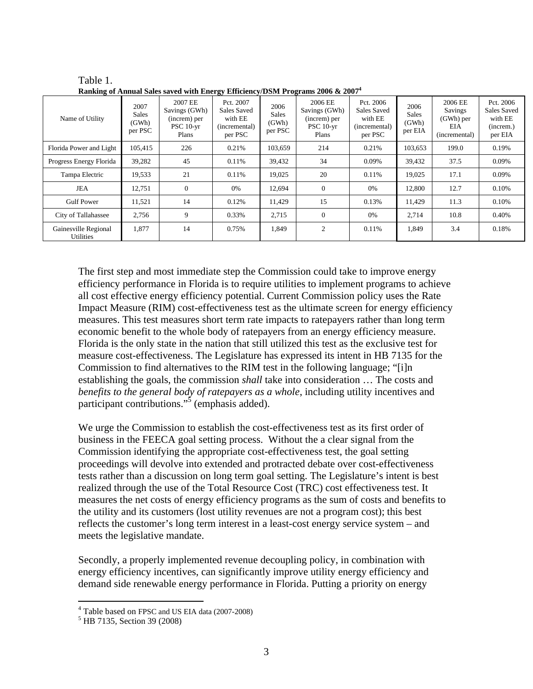| <b>Running</b> of Thinum bares saved with Energy Enterency/Dom 110grunns 2000 et 2007 |                                          |                                                                  |                                                                 |                                          |                                                                  |                                                                 |                                          |                                                           |                                                             |  |  |
|---------------------------------------------------------------------------------------|------------------------------------------|------------------------------------------------------------------|-----------------------------------------------------------------|------------------------------------------|------------------------------------------------------------------|-----------------------------------------------------------------|------------------------------------------|-----------------------------------------------------------|-------------------------------------------------------------|--|--|
| Name of Utility                                                                       | 2007<br><b>Sales</b><br>(GWh)<br>per PSC | 2007 EE<br>Savings (GWh)<br>(increm) per<br>$PSC 10-vr$<br>Plans | Pct. 2007<br>Sales Saved<br>with EE<br>(incremental)<br>per PSC | 2006<br><b>Sales</b><br>(GWh)<br>per PSC | 2006 EE<br>Savings (GWh)<br>(increm) per<br>$PSC 10-vr$<br>Plans | Pct. 2006<br>Sales Saved<br>with EE<br>(incremental)<br>per PSC | 2006<br><b>Sales</b><br>(GWh)<br>per EIA | 2006 EE<br>Savings<br>$(GWh)$ per<br>EIA<br>(incremental) | Pct. 2006<br>Sales Saved<br>with EE<br>(increm.)<br>per EIA |  |  |
| Florida Power and Light                                                               | 105,415                                  | 226                                                              | 0.21%                                                           | 103,659                                  | 214                                                              | 0.21%                                                           | 103,653                                  | 199.0                                                     | 0.19%                                                       |  |  |
| Progress Energy Florida                                                               | 39,282                                   | 45                                                               | 0.11%                                                           | 39,432                                   | 34                                                               | 0.09%                                                           | 39.432                                   | 37.5                                                      | 0.09%                                                       |  |  |
| Tampa Electric                                                                        | 19,533                                   | 21                                                               | 0.11%                                                           | 19,025                                   | 20                                                               | 0.11%                                                           | 19,025                                   | 17.1                                                      | 0.09%                                                       |  |  |
| JEA                                                                                   | 12.751                                   | $\mathbf{0}$                                                     | 0%                                                              | 12.694                                   | $\theta$                                                         | 0%                                                              | 12.800                                   | 12.7                                                      | 0.10%                                                       |  |  |
| <b>Gulf Power</b>                                                                     | 11,521                                   | 14                                                               | 0.12%                                                           | 11,429                                   | 15                                                               | 0.13%                                                           | 11,429                                   | 11.3                                                      | 0.10%                                                       |  |  |
| City of Tallahassee                                                                   | 2,756                                    | 9                                                                | 0.33%                                                           | 2,715                                    | $\overline{0}$                                                   | 0%                                                              | 2,714                                    | 10.8                                                      | 0.40%                                                       |  |  |
| Gainesville Regional<br><b>Utilities</b>                                              | 1,877                                    | 14                                                               | 0.75%                                                           | 1,849                                    | $\overline{c}$                                                   | 0.11%                                                           | 1,849                                    | 3.4                                                       | 0.18%                                                       |  |  |

Table 1. **Ranking of Annual Sales saved with Energy Efficiency/DSM Programs 2006 & 20074**

The first step and most immediate step the Commission could take to improve energy efficiency performance in Florida is to require utilities to implement programs to achieve all cost effective energy efficiency potential. Current Commission policy uses the Rate Impact Measure (RIM) cost-effectiveness test as the ultimate screen for energy efficiency measures. This test measures short term rate impacts to ratepayers rather than long term economic benefit to the whole body of ratepayers from an energy efficiency measure. Florida is the only state in the nation that still utilized this test as the exclusive test for measure cost-effectiveness. The Legislature has expressed its intent in HB 7135 for the Commission to find alternatives to the RIM test in the following language; "[i]n establishing the goals, the commission *shall* take into consideration … The costs and *benefits to the general body of ratepayers as a whole*, including utility incentives and participant contributions."<sup>5</sup> (emphasis added).

We urge the Commission to establish the cost-effectiveness test as its first order of business in the FEECA goal setting process. Without the a clear signal from the Commission identifying the appropriate cost-effectiveness test, the goal setting proceedings will devolve into extended and protracted debate over cost-effectiveness tests rather than a discussion on long term goal setting. The Legislature's intent is best realized through the use of the Total Resource Cost (TRC) cost effectiveness test. It measures the net costs of energy efficiency programs as the sum of costs and benefits to the utility and its customers (lost utility revenues are not a program cost); this best reflects the customer's long term interest in a least-cost energy service system – and meets the legislative mandate.

Secondly, a properly implemented revenue decoupling policy, in combination with energy efficiency incentives, can significantly improve utility energy efficiency and demand side renewable energy performance in Florida. Putting a priority on energy

 $^{4}$  Table based on FPSC and US EIA data (2007-2008)

<sup>&</sup>lt;sup>5</sup> HB 7135, Section 39 (2008)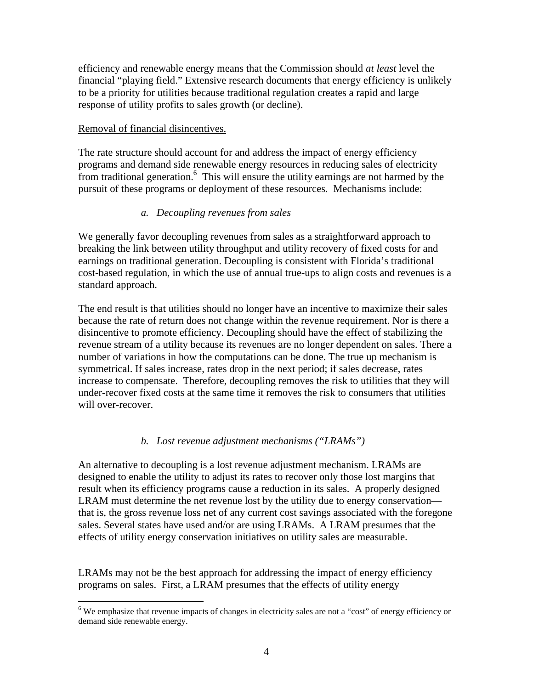efficiency and renewable energy means that the Commission should *at least* level the financial "playing field." Extensive research documents that energy efficiency is unlikely to be a priority for utilities because traditional regulation creates a rapid and large response of utility profits to sales growth (or decline).

## Removal of financial disincentives.

 $\overline{a}$ 

The rate structure should account for and address the impact of energy efficiency programs and demand side renewable energy resources in reducing sales of electricity from traditional generation.<sup>6</sup> This will ensure the utility earnings are not harmed by the pursuit of these programs or deployment of these resources. Mechanisms include:

# *a. Decoupling revenues from sales*

We generally favor decoupling revenues from sales as a straightforward approach to breaking the link between utility throughput and utility recovery of fixed costs for and earnings on traditional generation. Decoupling is consistent with Florida's traditional cost-based regulation, in which the use of annual true-ups to align costs and revenues is a standard approach.

The end result is that utilities should no longer have an incentive to maximize their sales because the rate of return does not change within the revenue requirement. Nor is there a disincentive to promote efficiency. Decoupling should have the effect of stabilizing the revenue stream of a utility because its revenues are no longer dependent on sales. There a number of variations in how the computations can be done. The true up mechanism is symmetrical. If sales increase, rates drop in the next period; if sales decrease, rates increase to compensate. Therefore, decoupling removes the risk to utilities that they will under-recover fixed costs at the same time it removes the risk to consumers that utilities will over-recover.

# *b. Lost revenue adjustment mechanisms ("LRAMs")*

An alternative to decoupling is a lost revenue adjustment mechanism. LRAMs are designed to enable the utility to adjust its rates to recover only those lost margins that result when its efficiency programs cause a reduction in its sales. A properly designed LRAM must determine the net revenue lost by the utility due to energy conservation that is, the gross revenue loss net of any current cost savings associated with the foregone sales. Several states have used and/or are using LRAMs. A LRAM presumes that the effects of utility energy conservation initiatives on utility sales are measurable.

LRAMs may not be the best approach for addressing the impact of energy efficiency programs on sales. First, a LRAM presumes that the effects of utility energy

<sup>&</sup>lt;sup>6</sup> We emphasize that revenue impacts of changes in electricity sales are not a "cost" of energy efficiency or demand side renewable energy.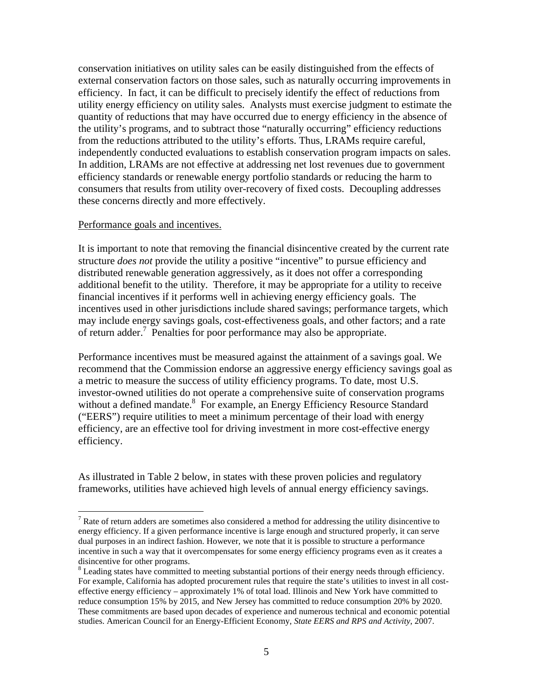conservation initiatives on utility sales can be easily distinguished from the effects of external conservation factors on those sales, such as naturally occurring improvements in efficiency. In fact, it can be difficult to precisely identify the effect of reductions from utility energy efficiency on utility sales. Analysts must exercise judgment to estimate the quantity of reductions that may have occurred due to energy efficiency in the absence of the utility's programs, and to subtract those "naturally occurring" efficiency reductions from the reductions attributed to the utility's efforts. Thus, LRAMs require careful, independently conducted evaluations to establish conservation program impacts on sales. In addition, LRAMs are not effective at addressing net lost revenues due to government efficiency standards or renewable energy portfolio standards or reducing the harm to consumers that results from utility over-recovery of fixed costs. Decoupling addresses these concerns directly and more effectively.

#### Performance goals and incentives.

 $\overline{a}$ 

It is important to note that removing the financial disincentive created by the current rate structure *does not* provide the utility a positive "incentive" to pursue efficiency and distributed renewable generation aggressively, as it does not offer a corresponding additional benefit to the utility. Therefore, it may be appropriate for a utility to receive financial incentives if it performs well in achieving energy efficiency goals. The incentives used in other jurisdictions include shared savings; performance targets, which may include energy savings goals, cost-effectiveness goals, and other factors; and a rate of return adder.<sup>7</sup> Penalties for poor performance may also be appropriate.

Performance incentives must be measured against the attainment of a savings goal. We recommend that the Commission endorse an aggressive energy efficiency savings goal as a metric to measure the success of utility efficiency programs. To date, most U.S. investor-owned utilities do not operate a comprehensive suite of conservation programs without a defined mandate.<sup>8</sup> For example, an Energy Efficiency Resource Standard ("EERS") require utilities to meet a minimum percentage of their load with energy efficiency, are an effective tool for driving investment in more cost-effective energy efficiency.

As illustrated in Table 2 below, in states with these proven policies and regulatory frameworks, utilities have achieved high levels of annual energy efficiency savings.

 $<sup>7</sup>$  Rate of return adders are sometimes also considered a method for addressing the utility disincentive to</sup> energy efficiency. If a given performance incentive is large enough and structured properly, it can serve dual purposes in an indirect fashion. However, we note that it is possible to structure a performance incentive in such a way that it overcompensates for some energy efficiency programs even as it creates a disincentive for other programs.

<sup>&</sup>lt;sup>8</sup> Leading states have committed to meeting substantial portions of their energy needs through efficiency. For example, California has adopted procurement rules that require the state's utilities to invest in all costeffective energy efficiency – approximately 1% of total load. Illinois and New York have committed to reduce consumption 15% by 2015, and New Jersey has committed to reduce consumption 20% by 2020. These commitments are based upon decades of experience and numerous technical and economic potential studies. American Council for an Energy-Efficient Economy, *State EERS and RPS and Activity*, 2007.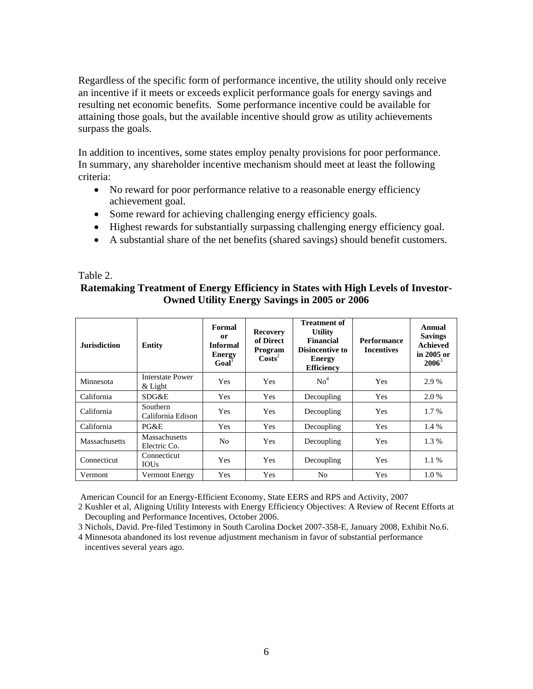Regardless of the specific form of performance incentive, the utility should only receive an incentive if it meets or exceeds explicit performance goals for energy savings and resulting net economic benefits. Some performance incentive could be available for attaining those goals, but the available incentive should grow as utility achievements surpass the goals.

In addition to incentives, some states employ penalty provisions for poor performance. In summary, any shareholder incentive mechanism should meet at least the following criteria:

- No reward for poor performance relative to a reasonable energy efficiency achievement goal.
- Some reward for achieving challenging energy efficiency goals.
- Highest rewards for substantially surpassing challenging energy efficiency goal.
- A substantial share of the net benefits (shared savings) should benefit customers.

#### Table 2.

# **Ratemaking Treatment of Energy Efficiency in States with High Levels of Investor-Owned Utility Energy Savings in 2005 or 2006**

| <b>Jurisdiction</b>  | <b>Entity</b>                        | Formal<br><sub>or</sub><br><b>Informal</b><br><b>Energy</b><br>Goal' | <b>Recovery</b><br>of Direct<br>Program<br>$\text{Costs}^2$ | <b>Treatment of</b><br><b>Utility</b><br>Financial<br>Disincentive to<br>Energy<br><b>Efficiency</b> | <b>Performance</b><br><b>Incentives</b> | Annual<br><b>Savings</b><br><b>Achieved</b><br>in 2005 or<br>$2006^3$ |
|----------------------|--------------------------------------|----------------------------------------------------------------------|-------------------------------------------------------------|------------------------------------------------------------------------------------------------------|-----------------------------------------|-----------------------------------------------------------------------|
| Minnesota            | Interstate Power<br>$&$ Light        | <b>Yes</b>                                                           | <b>Yes</b>                                                  | No <sup>4</sup>                                                                                      | Yes                                     | 2.9 %                                                                 |
| California           | SDG&E                                | <b>Yes</b>                                                           | <b>Yes</b>                                                  | Decoupling                                                                                           | <b>Yes</b>                              | 2.0 %                                                                 |
| California           | Southern<br>California Edison        | Yes                                                                  | <b>Yes</b>                                                  | Decoupling                                                                                           | <b>Yes</b>                              | 1.7 %                                                                 |
| California           | PG&E                                 | Yes                                                                  | Yes                                                         | Decoupling                                                                                           | Yes                                     | 1.4 %                                                                 |
| <b>Massachusetts</b> | <b>Massachusetts</b><br>Electric Co. | No                                                                   | Yes                                                         | Decoupling                                                                                           | Yes                                     | 1.3%                                                                  |
| Connecticut          | Connecticut<br><b>IOUs</b>           | <b>Yes</b>                                                           | <b>Yes</b>                                                  | Decoupling                                                                                           | Yes                                     | 1.1%                                                                  |
| Vermont              | <b>Vermont Energy</b>                | Yes                                                                  | Yes                                                         | N <sub>0</sub>                                                                                       | Yes                                     | 1.0%                                                                  |

American Council for an Energy-Efficient Economy, State EERS and RPS and Activity, 2007

2 Kushler et al, Aligning Utility Interests with Energy Efficiency Objectives: A Review of Recent Efforts at Decoupling and Performance Incentives, October 2006.

3 Nichols, David. Pre-filed Testimony in South Carolina Docket 2007-358-E, January 2008, Exhibit No.6.

4 Minnesota abandoned its lost revenue adjustment mechanism in favor of substantial performance incentives several years ago.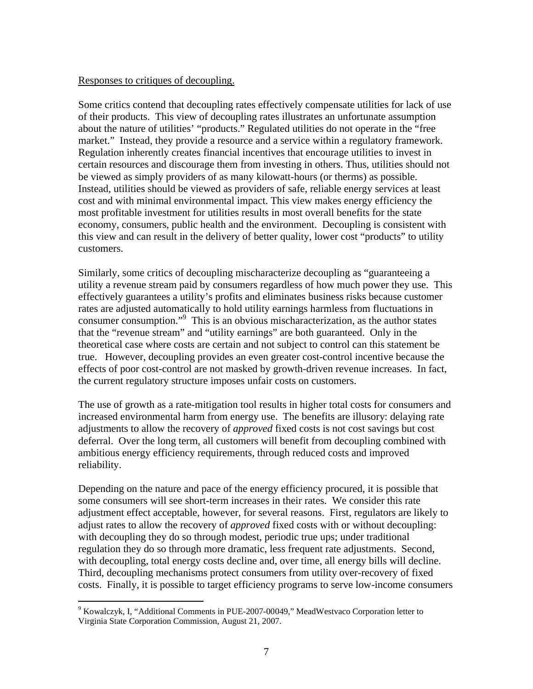#### Responses to critiques of decoupling.

Some critics contend that decoupling rates effectively compensate utilities for lack of use of their products. This view of decoupling rates illustrates an unfortunate assumption about the nature of utilities' "products." Regulated utilities do not operate in the "free market." Instead, they provide a resource and a service within a regulatory framework. Regulation inherently creates financial incentives that encourage utilities to invest in certain resources and discourage them from investing in others. Thus, utilities should not be viewed as simply providers of as many kilowatt-hours (or therms) as possible. Instead, utilities should be viewed as providers of safe, reliable energy services at least cost and with minimal environmental impact. This view makes energy efficiency the most profitable investment for utilities results in most overall benefits for the state economy, consumers, public health and the environment. Decoupling is consistent with this view and can result in the delivery of better quality, lower cost "products" to utility customers.

Similarly, some critics of decoupling mischaracterize decoupling as "guaranteeing a utility a revenue stream paid by consumers regardless of how much power they use. This effectively guarantees a utility's profits and eliminates business risks because customer rates are adjusted automatically to hold utility earnings harmless from fluctuations in consumer consumption."9 This is an obvious mischaracterization, as the author states that the "revenue stream" and "utility earnings" are both guaranteed. Only in the theoretical case where costs are certain and not subject to control can this statement be true. However, decoupling provides an even greater cost-control incentive because the effects of poor cost-control are not masked by growth-driven revenue increases. In fact, the current regulatory structure imposes unfair costs on customers.

The use of growth as a rate-mitigation tool results in higher total costs for consumers and increased environmental harm from energy use. The benefits are illusory: delaying rate adjustments to allow the recovery of *approved* fixed costs is not cost savings but cost deferral. Over the long term, all customers will benefit from decoupling combined with ambitious energy efficiency requirements, through reduced costs and improved reliability.

Depending on the nature and pace of the energy efficiency procured, it is possible that some consumers will see short-term increases in their rates. We consider this rate adjustment effect acceptable, however, for several reasons. First, regulators are likely to adjust rates to allow the recovery of *approved* fixed costs with or without decoupling: with decoupling they do so through modest, periodic true ups; under traditional regulation they do so through more dramatic, less frequent rate adjustments. Second, with decoupling, total energy costs decline and, over time, all energy bills will decline. Third, decoupling mechanisms protect consumers from utility over-recovery of fixed costs. Finally, it is possible to target efficiency programs to serve low-income consumers

 $\overline{a}$ 

<sup>&</sup>lt;sup>9</sup> Kowalczyk, I, "Additional Comments in PUE-2007-00049," MeadWestvaco Corporation letter to Virginia State Corporation Commission, August 21, 2007.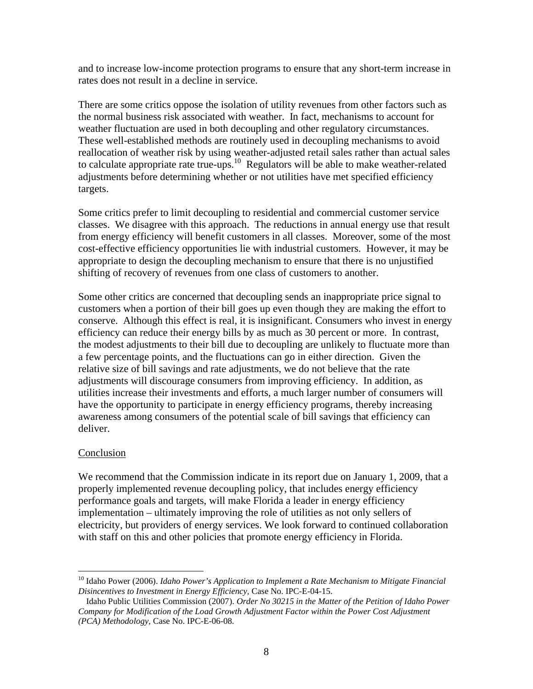and to increase low-income protection programs to ensure that any short-term increase in rates does not result in a decline in service.

There are some critics oppose the isolation of utility revenues from other factors such as the normal business risk associated with weather. In fact, mechanisms to account for weather fluctuation are used in both decoupling and other regulatory circumstances. These well-established methods are routinely used in decoupling mechanisms to avoid reallocation of weather risk by using weather-adjusted retail sales rather than actual sales to calculate appropriate rate true-ups.10 Regulators will be able to make weather-related adjustments before determining whether or not utilities have met specified efficiency targets.

Some critics prefer to limit decoupling to residential and commercial customer service classes. We disagree with this approach. The reductions in annual energy use that result from energy efficiency will benefit customers in all classes. Moreover, some of the most cost-effective efficiency opportunities lie with industrial customers. However, it may be appropriate to design the decoupling mechanism to ensure that there is no unjustified shifting of recovery of revenues from one class of customers to another.

Some other critics are concerned that decoupling sends an inappropriate price signal to customers when a portion of their bill goes up even though they are making the effort to conserve. Although this effect is real, it is insignificant. Consumers who invest in energy efficiency can reduce their energy bills by as much as 30 percent or more. In contrast, the modest adjustments to their bill due to decoupling are unlikely to fluctuate more than a few percentage points, and the fluctuations can go in either direction. Given the relative size of bill savings and rate adjustments, we do not believe that the rate adjustments will discourage consumers from improving efficiency. In addition, as utilities increase their investments and efforts, a much larger number of consumers will have the opportunity to participate in energy efficiency programs, thereby increasing awareness among consumers of the potential scale of bill savings that efficiency can deliver.

## Conclusion

 $\overline{a}$ 

We recommend that the Commission indicate in its report due on January 1, 2009, that a properly implemented revenue decoupling policy, that includes energy efficiency performance goals and targets, will make Florida a leader in energy efficiency implementation – ultimately improving the role of utilities as not only sellers of electricity, but providers of energy services. We look forward to continued collaboration with staff on this and other policies that promote energy efficiency in Florida.

<sup>&</sup>lt;sup>10</sup> Idaho Power (2006). *Idaho Power's Application to Implement a Rate Mechanism to Mitigate Financial Disincentives to Investment in Energy Efficiency,* Case No. IPC-E-04-15.

Idaho Public Utilities Commission (2007). *Order No 30215 in the Matter of the Petition of Idaho Power Company for Modification of the Load Growth Adjustment Factor within the Power Cost Adjustment (PCA) Methodology,* Case No. IPC-E-06-08.